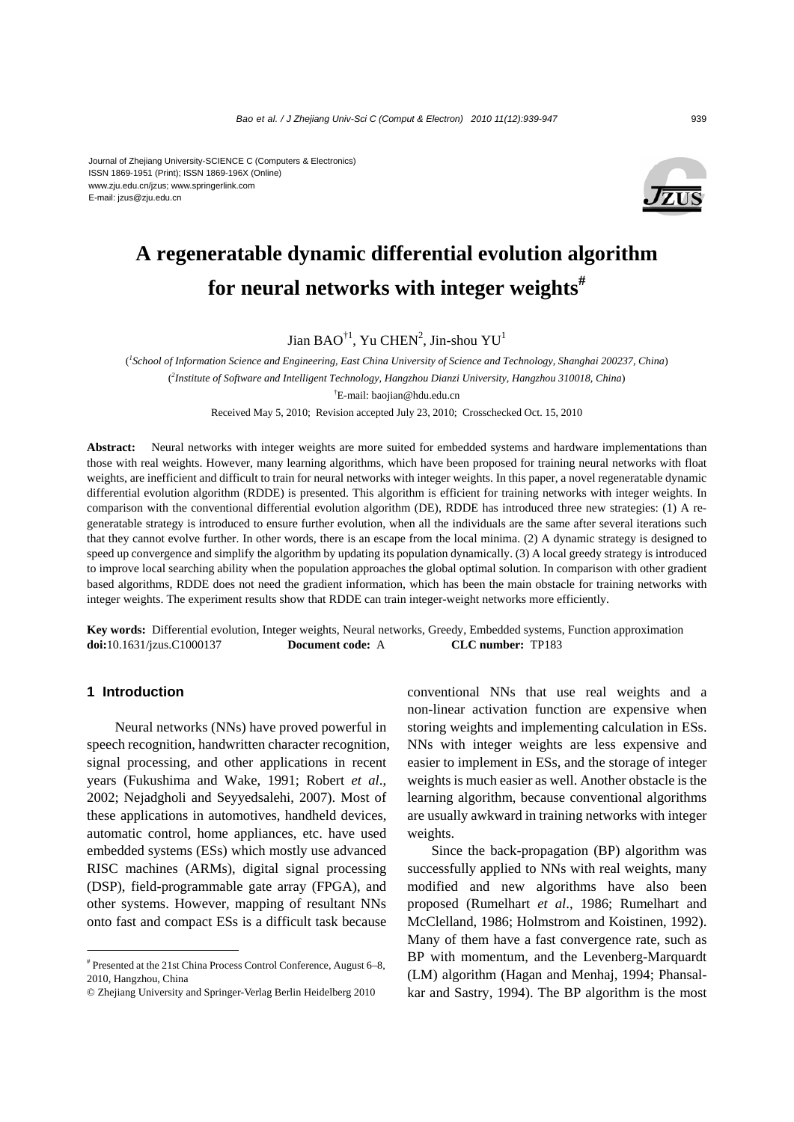#### Journal of Zhejiang University-SCIENCE C (Computers & Electronics) ISSN 1869-1951 (Print); ISSN 1869-196X (Online) www.zju.edu.cn/jzus; www.springerlink.com E-mail: jzus@zju.edu.cn



# **A regeneratable dynamic differential evolution algorithm for neural networks with integer weights#**

Jian BAO $^{\dagger1}$ , Yu CHEN<sup>2</sup>, Jin-shou YU<sup>1</sup>

( *1 School of Information Science and Engineering, East China University of Science and Technology, Shanghai 200237, China*) ( *2 Institute of Software and Intelligent Technology, Hangzhou Dianzi University, Hangzhou 310018, China*) † E-mail: baojian@hdu.edu.cn Received May 5, 2010; Revision accepted July 23, 2010; Crosschecked Oct. 15, 2010

Abstract: Neural networks with integer weights are more suited for embedded systems and hardware implementations than those with real weights. However, many learning algorithms, which have been proposed for training neural networks with float weights, are inefficient and difficult to train for neural networks with integer weights. In this paper, a novel regeneratable dynamic differential evolution algorithm (RDDE) is presented. This algorithm is efficient for training networks with integer weights. In comparison with the conventional differential evolution algorithm (DE), RDDE has introduced three new strategies: (1) A regeneratable strategy is introduced to ensure further evolution, when all the individuals are the same after several iterations such that they cannot evolve further. In other words, there is an escape from the local minima. (2) A dynamic strategy is designed to speed up convergence and simplify the algorithm by updating its population dynamically. (3) A local greedy strategy is introduced to improve local searching ability when the population approaches the global optimal solution. In comparison with other gradient based algorithms, RDDE does not need the gradient information, which has been the main obstacle for training networks with integer weights. The experiment results show that RDDE can train integer-weight networks more efficiently.

**Key words:** Differential evolution, Integer weights, Neural networks, Greedy, Embedded systems, Function approximation **doi:**10.1631/jzus.C1000137 **Document code:** A **CLC number:** TP183

## **1 Introduction**

Neural networks (NNs) have proved powerful in speech recognition, handwritten character recognition, signal processing, and other applications in recent years (Fukushima and Wake, 1991; Robert *et al*., 2002; Nejadgholi and Seyyedsalehi, 2007). Most of these applications in automotives, handheld devices, automatic control, home appliances, etc. have used embedded systems (ESs) which mostly use advanced RISC machines (ARMs), digital signal processing (DSP), field-programmable gate array (FPGA), and other systems. However, mapping of resultant NNs onto fast and compact ESs is a difficult task because

conventional NNs that use real weights and a non-linear activation function are expensive when storing weights and implementing calculation in ESs. NNs with integer weights are less expensive and easier to implement in ESs, and the storage of integer weights is much easier as well. Another obstacle is the learning algorithm, because conventional algorithms are usually awkward in training networks with integer weights.

Since the back-propagation (BP) algorithm was successfully applied to NNs with real weights, many modified and new algorithms have also been proposed (Rumelhart *et al*., 1986; Rumelhart and McClelland, 1986; Holmstrom and Koistinen, 1992). Many of them have a fast convergence rate, such as BP with momentum, and the Levenberg-Marquardt (LM) algorithm (Hagan and Menhaj, 1994; Phansalkar and Sastry, 1994). The BP algorithm is the most

<sup>#</sup> Presented at the 21st China Process Control Conference, August 6–8, 2010, Hangzhou, China

<sup>©</sup> Zhejiang University and Springer-Verlag Berlin Heidelberg 2010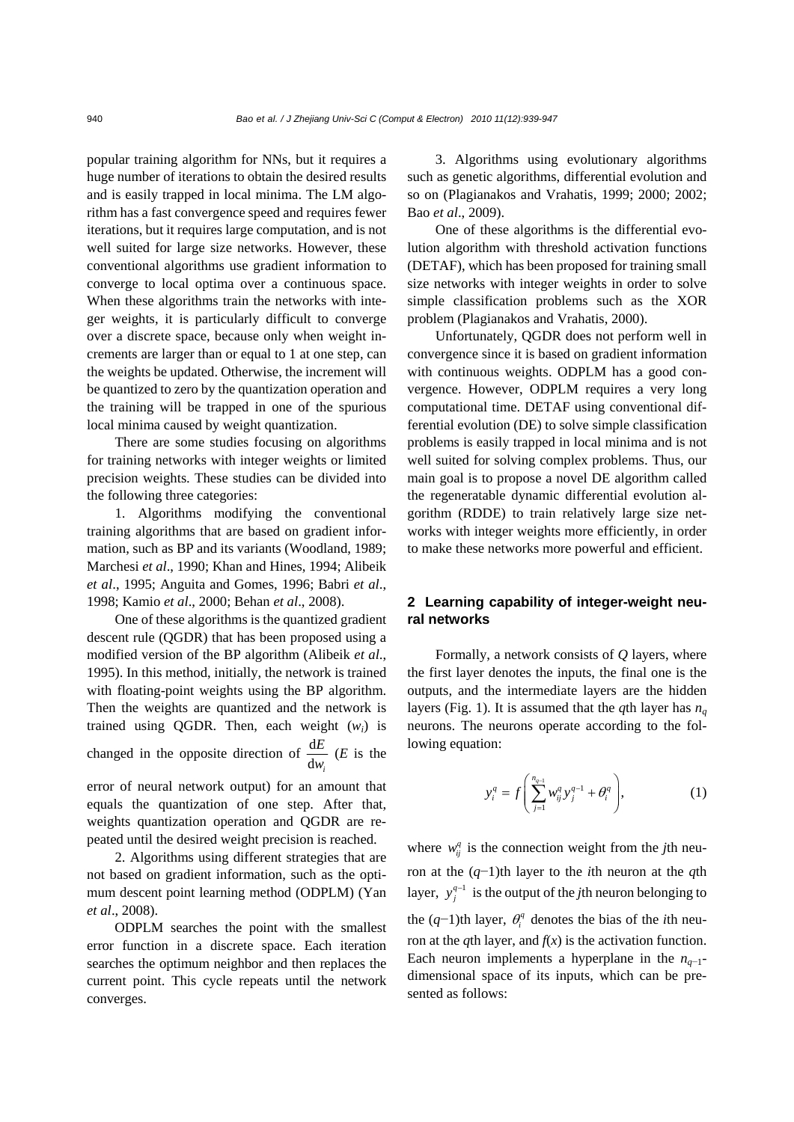popular training algorithm for NNs, but it requires a huge number of iterations to obtain the desired results and is easily trapped in local minima. The LM algorithm has a fast convergence speed and requires fewer iterations, but it requires large computation, and is not well suited for large size networks. However, these conventional algorithms use gradient information to converge to local optima over a continuous space. When these algorithms train the networks with integer weights, it is particularly difficult to converge over a discrete space, because only when weight increments are larger than or equal to 1 at one step, can the weights be updated. Otherwise, the increment will be quantized to zero by the quantization operation and the training will be trapped in one of the spurious local minima caused by weight quantization.

There are some studies focusing on algorithms for training networks with integer weights or limited precision weights. These studies can be divided into the following three categories:

1. Algorithms modifying the conventional training algorithms that are based on gradient information, such as BP and its variants (Woodland, 1989; Marchesi *et al*., 1990; Khan and Hines, 1994; Alibeik *et al*., 1995; Anguita and Gomes, 1996; Babri *et al*., 1998; Kamio *et al*., 2000; Behan *et al*., 2008).

One of these algorithms is the quantized gradient descent rule (QGDR) that has been proposed using a modified version of the BP algorithm (Alibeik *et al*., 1995). In this method, initially, the network is trained with floating-point weights using the BP algorithm. Then the weights are quantized and the network is trained using QGDR. Then, each weight (*wi*) is changed in the opposite direction of  $\frac{d}{dx}$  $dw_i$ *E w* (*E* is the

error of neural network output) for an amount that equals the quantization of one step. After that, weights quantization operation and QGDR are repeated until the desired weight precision is reached.

2. Algorithms using different strategies that are not based on gradient information, such as the optimum descent point learning method (ODPLM) (Yan *et al*., 2008).

ODPLM searches the point with the smallest error function in a discrete space. Each iteration searches the optimum neighbor and then replaces the current point. This cycle repeats until the network converges.

3. Algorithms using evolutionary algorithms such as genetic algorithms, differential evolution and so on (Plagianakos and Vrahatis, 1999; 2000; 2002; Bao *et al*., 2009).

One of these algorithms is the differential evolution algorithm with threshold activation functions (DETAF), which has been proposed for training small size networks with integer weights in order to solve simple classification problems such as the XOR problem (Plagianakos and Vrahatis, 2000).

Unfortunately, QGDR does not perform well in convergence since it is based on gradient information with continuous weights. ODPLM has a good convergence. However, ODPLM requires a very long computational time. DETAF using conventional differential evolution (DE) to solve simple classification problems is easily trapped in local minima and is not well suited for solving complex problems. Thus, our main goal is to propose a novel DE algorithm called the regeneratable dynamic differential evolution algorithm (RDDE) to train relatively large size networks with integer weights more efficiently, in order to make these networks more powerful and efficient.

# **2 Learning capability of integer-weight neural networks**

Formally, a network consists of *Q* layers, where the first layer denotes the inputs, the final one is the outputs, and the intermediate layers are the hidden layers (Fig. 1). It is assumed that the *q*th layer has  $n_a$ neurons. The neurons operate according to the following equation:

$$
y_i^q = f\left(\sum_{j=1}^{n_{q-1}} w_{ij}^q y_j^{q-1} + \theta_i^q\right),
$$
 (1)

where  $w_{ii}^q$  is the connection weight from the *j*th neuron at the (*q*−1)th layer to the *i*th neuron at the *q*th layer,  $y_j^{q-1}$  is the output of the *j*th neuron belonging to the  $(q-1)$ th layer,  $\theta_i^q$  denotes the bias of the *i*th neuron at the *q*th layer, and  $f(x)$  is the activation function. Each neuron implements a hyperplane in the  $n_{q-1}$ dimensional space of its inputs, which can be presented as follows: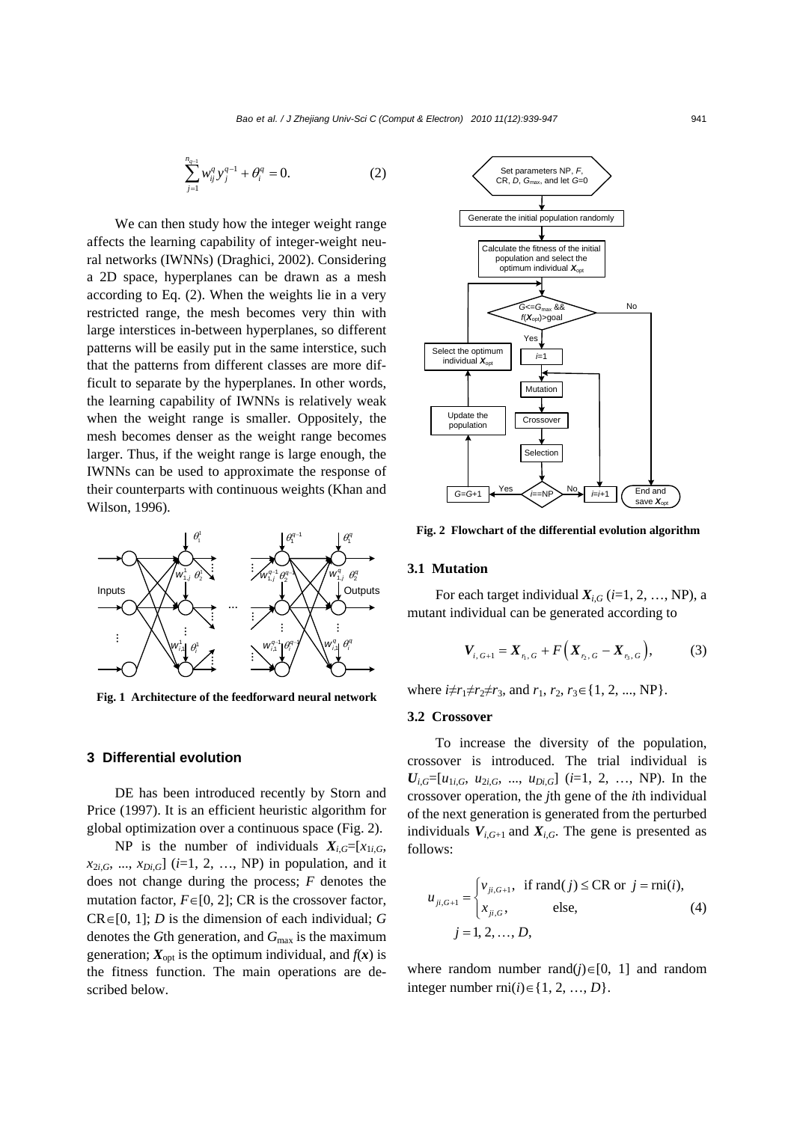$$
\sum_{j=1}^{n_{q-1}} w_{ij}^q y_j^{q-1} + \theta_i^q = 0.
$$
 (2)

We can then study how the integer weight range affects the learning capability of integer-weight neural networks (IWNNs) (Draghici, 2002). Considering a 2D space, hyperplanes can be drawn as a mesh according to Eq. (2). When the weights lie in a very restricted range, the mesh becomes very thin with large interstices in-between hyperplanes, so different patterns will be easily put in the same interstice, such that the patterns from different classes are more difficult to separate by the hyperplanes. In other words, the learning capability of IWNNs is relatively weak when the weight range is smaller. Oppositely, the mesh becomes denser as the weight range becomes larger. Thus, if the weight range is large enough, the IWNNs can be used to approximate the response of their counterparts with continuous weights (Khan and Wilson, 1996).



**Fig. 1 Architecture of the feedforward neural network**

## **3 Differential evolution**

DE has been introduced recently by Storn and Price (1997). It is an efficient heuristic algorithm for global optimization over a continuous space (Fig. 2).

NP is the number of individuals  $X_{i,G} = [x_{1i,G},$  $x_{2i,G}$ , ...,  $x_{Di,G}$ ] (*i*=1, 2, ..., NP) in population, and it does not change during the process; *F* denotes the mutation factor,  $F \in [0, 2]$ ; CR is the crossover factor, CR∈[0, 1]; *D* is the dimension of each individual; *G* denotes the *G*th generation, and *G*max is the maximum generation;  $X_{\text{opt}}$  is the optimum individual, and  $f(x)$  is the fitness function. The main operations are described below.



**Fig. 2 Flowchart of the differential evolution algorithm**

## **3.1 Mutation**

For each target individual  $X_{i,G}$  ( $i=1, 2, ..., NP$ ), a mutant individual can be generated according to

$$
\boldsymbol{V}_{i, G+1} = \boldsymbol{X}_{r_i, G} + F\left(\boldsymbol{X}_{r_2, G} - \boldsymbol{X}_{r_3, G}\right),\tag{3}
$$

where  $i \neq r_1 \neq r_2 \neq r_3$ , and  $r_1, r_2, r_3 \in \{1, 2, ..., NP\}$ .

### **3.2 Crossover**

To increase the diversity of the population, crossover is introduced. The trial individual is  $U_{i,G}=[u_{1i,G}, u_{2i,G}, ..., u_{Di,G}]$  (*i*=1, 2, …, NP). In the crossover operation, the *j*th gene of the *i*th individual of the next generation is generated from the perturbed individuals  $V_{i,G+1}$  and  $X_{i,G}$ . The gene is presented as follows:

$$
u_{ji,G+1} = \begin{cases} v_{ji,G+1}, & \text{if } \text{rand}(j) \leq \text{CR} \text{ or } j = \text{rni}(i), \\ x_{ji,G}, & \text{else,} \end{cases}
$$
(4)  

$$
j = 1, 2, ..., D,
$$

where random number rand $(j) \in [0, 1]$  and random integer number rni(*i*)∈{1, 2, …, *D*}.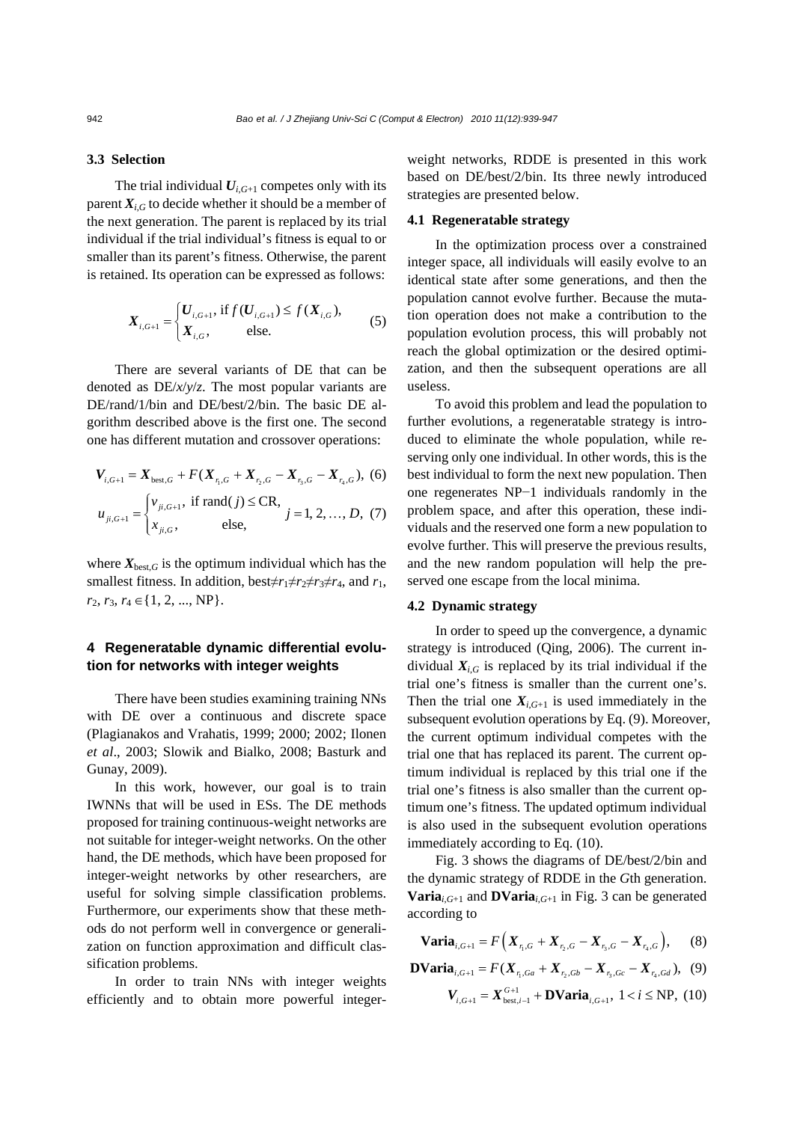# **3.3 Selection**

The trial individual  $U_{i,G+1}$  competes only with its parent  $X_{i,G}$  to decide whether it should be a member of the next generation. The parent is replaced by its trial individual if the trial individual's fitness is equal to or smaller than its parent's fitness. Otherwise, the parent is retained. Its operation can be expressed as follows:

$$
X_{i,G+1} = \begin{cases} U_{i,G+1}, \text{ if } f(U_{i,G+1}) \le f(X_{i,G}), \\ X_{i,G}, \text{ else.} \end{cases} (5)
$$

There are several variants of DE that can be denoted as DE/*x*/*y*/*z*. The most popular variants are DE/rand/1/bin and DE/best/2/bin. The basic DE algorithm described above is the first one. The second one has different mutation and crossover operations:

$$
V_{i,G+1} = X_{\text{best},G} + F(X_{\tau_i,G} + X_{\tau_2,G} - X_{\tau_3,G} - X_{\tau_4,G}),
$$
 (6)  

$$
u_{ji,G+1} = \begin{cases} v_{ji,G+1}, & \text{if rand}(j) \le CR, \\ x_{ji,G}, & \text{else,} \end{cases} j = 1, 2, ..., D, (7)
$$

where  $X_{\text{best},G}$  is the optimum individual which has the smallest fitness. In addition, best $\neq r_1 \neq r_2 \neq r_3 \neq r_4$ , and  $r_1$ , *r*<sub>2</sub>, *r*<sub>3</sub>, *r*<sub>4</sub> ∈ {1, 2, ..., NP }.

# **4 Regeneratable dynamic differential evolution for networks with integer weights**

There have been studies examining training NNs with DE over a continuous and discrete space (Plagianakos and Vrahatis, 1999; 2000; 2002; Ilonen *et al*., 2003; Slowik and Bialko, 2008; Basturk and Gunay, 2009).

In this work, however, our goal is to train IWNNs that will be used in ESs. The DE methods proposed for training continuous-weight networks are not suitable for integer-weight networks. On the other hand, the DE methods, which have been proposed for integer-weight networks by other researchers, are useful for solving simple classification problems. Furthermore, our experiments show that these methods do not perform well in convergence or generalization on function approximation and difficult classification problems.

In order to train NNs with integer weights efficiently and to obtain more powerful integerweight networks, RDDE is presented in this work based on DE/best/2/bin. Its three newly introduced strategies are presented below.

## **4.1 Regeneratable strategy**

In the optimization process over a constrained integer space, all individuals will easily evolve to an identical state after some generations, and then the population cannot evolve further. Because the mutation operation does not make a contribution to the population evolution process, this will probably not reach the global optimization or the desired optimization, and then the subsequent operations are all useless.

To avoid this problem and lead the population to further evolutions, a regeneratable strategy is introduced to eliminate the whole population, while reserving only one individual. In other words, this is the best individual to form the next new population. Then one regenerates NP−1 individuals randomly in the problem space, and after this operation, these individuals and the reserved one form a new population to evolve further. This will preserve the previous results, and the new random population will help the preserved one escape from the local minima.

## **4.2 Dynamic strategy**

In order to speed up the convergence, a dynamic strategy is introduced (Qing, 2006). The current individual  $X_{i,G}$  is replaced by its trial individual if the trial one's fitness is smaller than the current one's. Then the trial one  $X_{i,G+1}$  is used immediately in the subsequent evolution operations by Eq. (9). Moreover, the current optimum individual competes with the trial one that has replaced its parent. The current optimum individual is replaced by this trial one if the trial one's fitness is also smaller than the current optimum one's fitness. The updated optimum individual is also used in the subsequent evolution operations immediately according to Eq. (10).

Fig. 3 shows the diagrams of DE/best/2/bin and the dynamic strategy of RDDE in the *G*th generation. **Varia**<sub>*i*, $G_{+1}$ </sub> and **DVaria**<sub>*i*, $G_{+1}$ </sub> in Fig. 3 can be generated according to

$$
\mathbf{Varia}_{i,G+1} = F\Big(X_{r_1,G} + X_{r_2,G} - X_{r_3,G} - X_{r_4,G}\Big),\tag{8}
$$

**DVaria**<sub>i,G+1</sub> = 
$$
F(X_{r_1,Ga} + X_{r_2,Gb} - X_{r_3,Gc} - X_{r_4,Gd})
$$
, (9)  
 $V_{i,G+1} = X_{best,i-1}^{G+1} + \textbf{DVaria}_{i,G+1}$ ,  $1 < i \le NP$ , (10)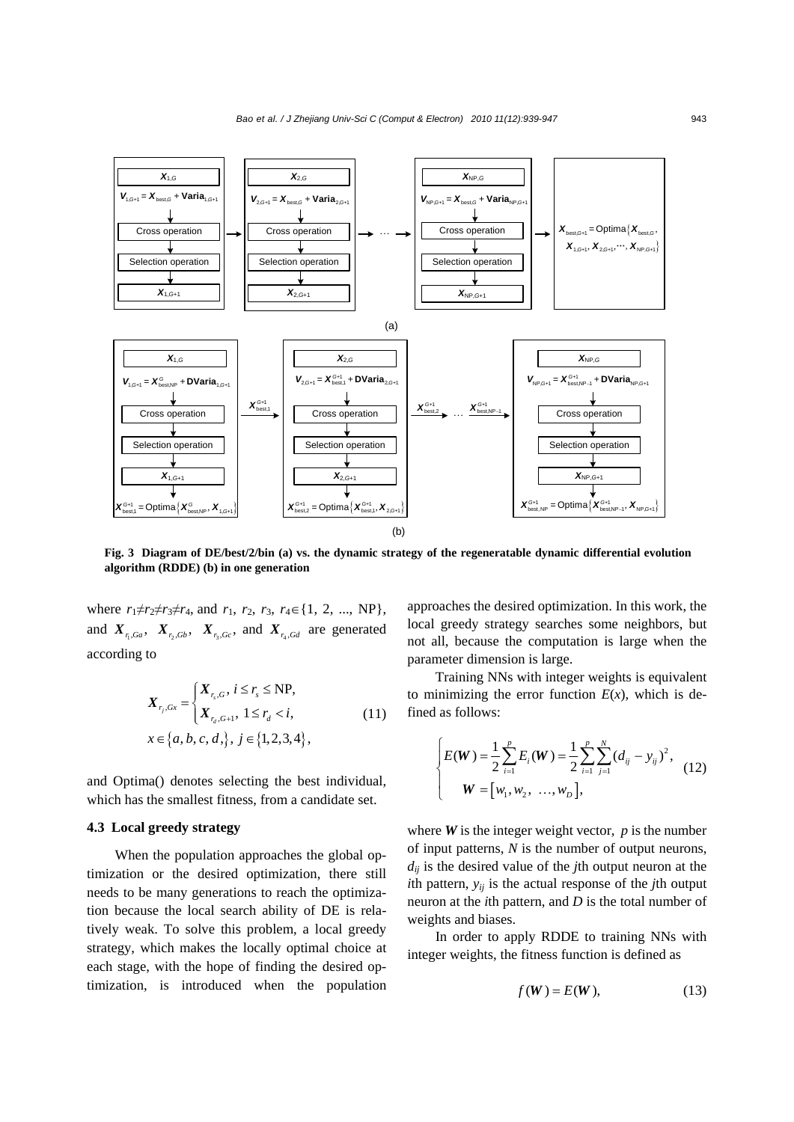

**Fig. 3 Diagram of DE/best/2/bin (a) vs. the dynamic strategy of the regeneratable dynamic differential evolution algorithm (RDDE) (b) in one generation** 

where  $r_1 \neq r_2 \neq r_3 \neq r_4$ , and  $r_1$ ,  $r_2$ ,  $r_3$ ,  $r_4 \in \{1, 2, ..., NP\}$ , and  $X_{r,Ga}$ ,  $X_{r,Gb}$ ,  $X_{r,Gc}$ , and  $X_{r,Gd}$  are generated according to

$$
X_{r_j,Gx} = \begin{cases} X_{r_s,G}, i \le r_s \le NP, \\ X_{r_d,G+1}, 1 \le r_d < i, \\ x \in \{a, b, c, d, \}, j \in \{1, 2, 3, 4\}, \end{cases}
$$
(11)

and Optima() denotes selecting the best individual, which has the smallest fitness, from a candidate set.

## **4.3 Local greedy strategy**

When the population approaches the global optimization or the desired optimization, there still needs to be many generations to reach the optimization because the local search ability of DE is relatively weak. To solve this problem, a local greedy strategy, which makes the locally optimal choice at each stage, with the hope of finding the desired optimization, is introduced when the population

approaches the desired optimization. In this work, the local greedy strategy searches some neighbors, but not all, because the computation is large when the parameter dimension is large.

Training NNs with integer weights is equivalent to minimizing the error function  $E(x)$ , which is defined as follows:

$$
\begin{cases}\nE(W) = \frac{1}{2} \sum_{i=1}^{p} E_i(W) = \frac{1}{2} \sum_{i=1}^{p} \sum_{j=1}^{N} (d_{ij} - y_{ij})^2, \\
W = [w_1, w_2, \dots, w_D],\n\end{cases}
$$
\n(12)

where  $W$  is the integer weight vector,  $p$  is the number of input patterns, *N* is the number of output neurons, *dij* is the desired value of the *j*th output neuron at the *i*th pattern, *yij* is the actual response of the *j*th output neuron at the *i*th pattern, and *D* is the total number of weights and biases.

In order to apply RDDE to training NNs with integer weights, the fitness function is defined as

$$
f(W) = E(W), \tag{13}
$$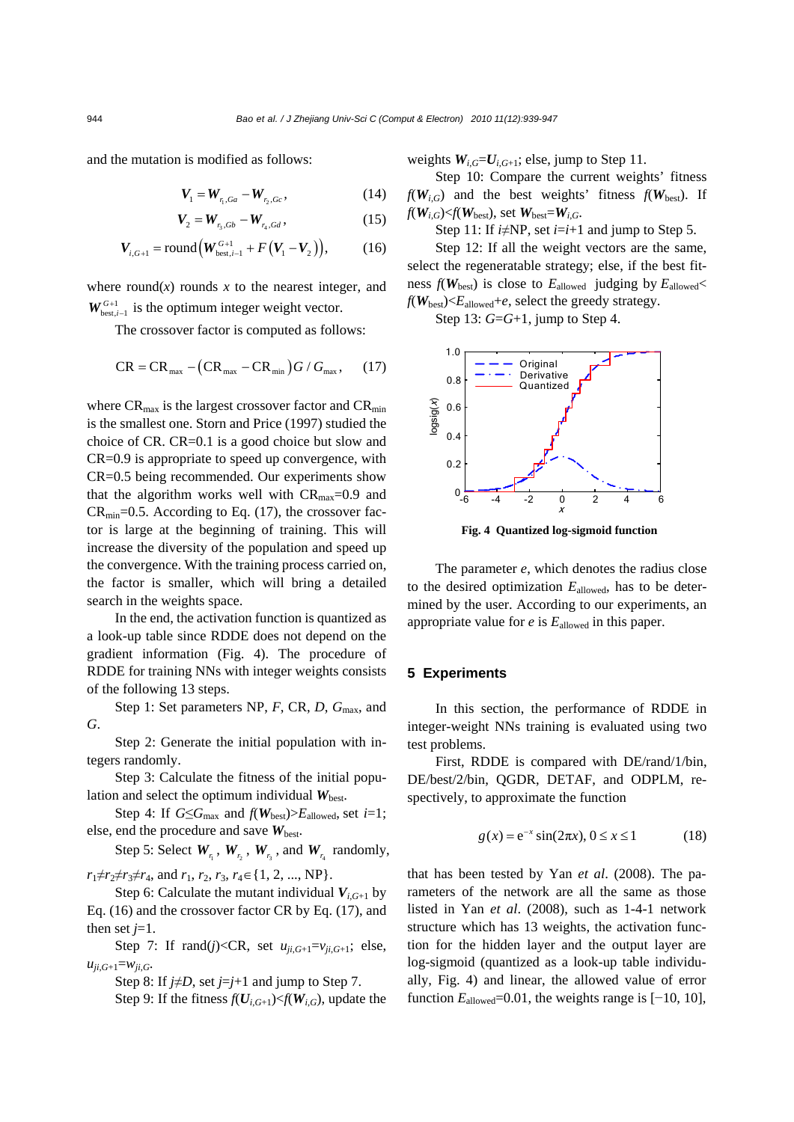and the mutation is modified as follows:

$$
V_1 = W_{r_1, Ga} - W_{r_2, Gc}, \qquad (14)
$$

$$
V_2 = W_{r_3, Gb} - W_{r_4, Gd}, \qquad (15)
$$

$$
V_{i,G+1} = \text{round}\Big(W_{\text{best},i-1}^{G+1} + F\big(V_1 - V_2\big)\Big),\tag{16}
$$

where round( $x$ ) rounds  $x$  to the nearest integer, and  $W_{best,i-1}^{G+1}$  is the optimum integer weight vector.

The crossover factor is computed as follows:

$$
CR = CR_{\text{max}} - (CR_{\text{max}} - CR_{\text{min}})G / G_{\text{max}}, \quad (17)
$$

where  $CR_{\text{max}}$  is the largest crossover factor and  $CR_{\text{min}}$ is the smallest one. Storn and Price (1997) studied the choice of CR. CR=0.1 is a good choice but slow and CR=0.9 is appropriate to speed up convergence, with CR=0.5 being recommended. Our experiments show that the algorithm works well with  $CR_{\text{max}}=0.9$  and  $CR<sub>min</sub>=0.5$ . According to Eq. (17), the crossover factor is large at the beginning of training. This will increase the diversity of the population and speed up the convergence. With the training process carried on, the factor is smaller, which will bring a detailed search in the weights space.

In the end, the activation function is quantized as a look-up table since RDDE does not depend on the gradient information (Fig. 4). The procedure of RDDE for training NNs with integer weights consists of the following 13 steps.

Step 1: Set parameters NP, *F*, CR, *D*, *G*max, and *G*.

Step 2: Generate the initial population with integers randomly.

Step 3: Calculate the fitness of the initial population and select the optimum individual  $W_{\text{best}}$ .

Step 4: If  $G \leq G_{\text{max}}$  and  $f(W_{\text{best}}) > E_{\text{allowed}}$ , set *i*=1; else, end the procedure and save  $W_{best}$ .

Step 5: Select  $W_{r_1}$ ,  $W_{r_2}$ ,  $W_{r_3}$ , and  $W_{r_4}$  randomly,  $r_1 \neq r_2 \neq r_3 \neq r_4$ , and  $r_1, r_2, r_3, r_4 \in \{1, 2, ..., NP\}.$ 

Step 6: Calculate the mutant individual  $V_{i,G+1}$  by Eq. (16) and the crossover factor CR by Eq. (17), and then set  $j=1$ .

Step 7: If  $\text{rand}(j) < CR$ , set  $u_{ji,G+1} = v_{ji,G+1}$ ; else,  $u_{ji,G+1} = w_{ji,G}$ 

Step 8: If  $j \neq D$ , set  $j = j + 1$  and jump to Step 7.

Step 9: If the fitness  $f(U_{i,G+1}) \leq f(W_{i,G})$ , update the

weights  $W_{i,G} = U_{i,G+1}$ ; else, jump to Step 11.

Step 10: Compare the current weights' fitness  $f(W_{i,G})$  and the best weights' fitness  $f(W_{best})$ . If  $f(W_{i,G}) \leq f(W_{\text{best}})$ , set  $W_{\text{best}} = W_{i,G}$ .

Step 11: If  $i \neq NP$ , set  $i = i+1$  and jump to Step 5.

Step 12: If all the weight vectors are the same, select the regeneratable strategy; else, if the best fitness  $f(W_{\text{best}})$  is close to  $E_{\text{allowed}}$  judging by  $E_{\text{allowed}}$  $f(W_{\text{best}}) \leq E_{\text{allowed}} + e$ , select the greedy strategy.

Step 13: *G*=*G*+1, jump to Step 4.



**Fig. 4 Quantized log-sigmoid function** 

The parameter *e*, which denotes the radius close to the desired optimization *E*allowed, has to be determined by the user. According to our experiments, an appropriate value for  $e$  is  $E_{\text{allowed}}$  in this paper.

#### **5 Experiments**

In this section, the performance of RDDE in integer-weight NNs training is evaluated using two test problems.

First, RDDE is compared with DE/rand/1/bin, DE/best/2/bin, QGDR, DETAF, and ODPLM, respectively, to approximate the function

$$
g(x) = e^{-x} \sin(2\pi x), 0 \le x \le 1
$$
 (18)

that has been tested by Yan *et al*. (2008). The parameters of the network are all the same as those listed in Yan *et al*. (2008), such as 1-4-1 network structure which has 13 weights, the activation function for the hidden layer and the output layer are log-sigmoid (quantized as a look-up table individually, Fig. 4) and linear, the allowed value of error function  $E_{\text{allowed}}$ =0.01, the weights range is  $[-10, 10]$ ,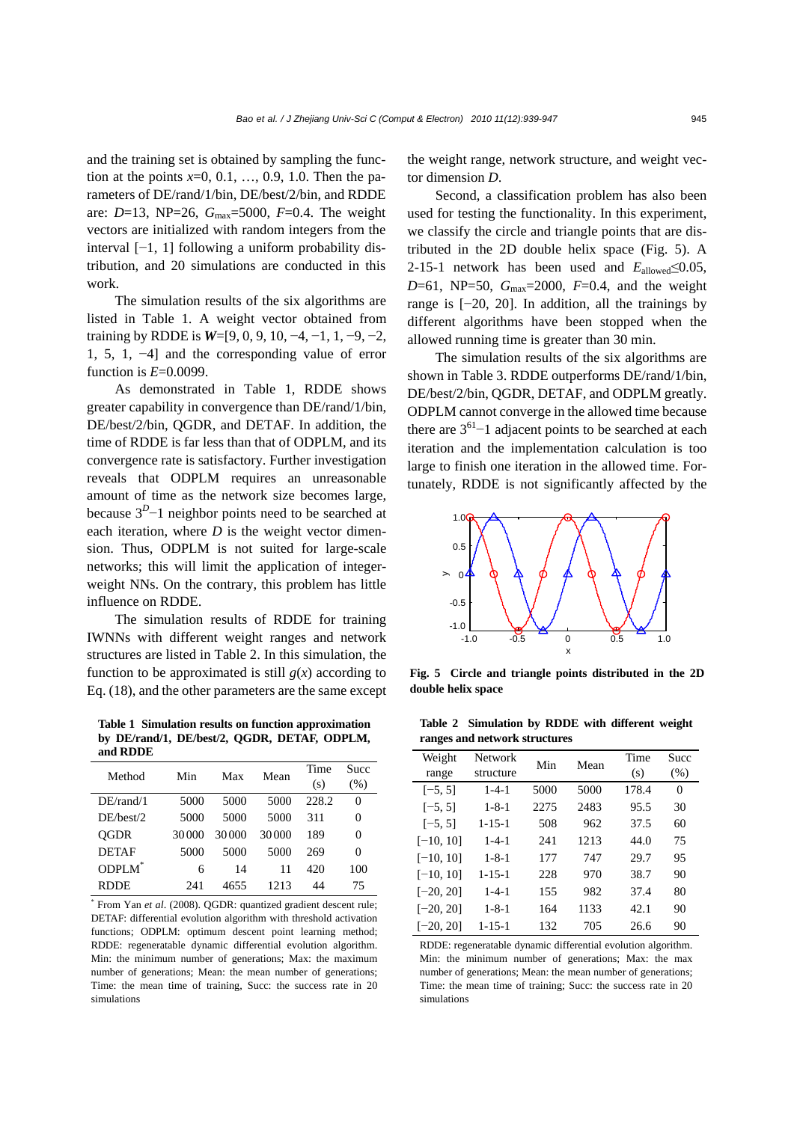and the training set is obtained by sampling the function at the points *x*=0, 0.1, …, 0.9, 1.0. Then the parameters of DE/rand/1/bin, DE/best/2/bin, and RDDE are: *D*=13, NP=26, *G*max=5000, *F*=0.4. The weight vectors are initialized with random integers from the interval [−1, 1] following a uniform probability distribution, and 20 simulations are conducted in this work.

The simulation results of the six algorithms are listed in Table 1. A weight vector obtained from training by RDDE is *W*=[9, 0, 9, 10, −4, −1, 1, −9, −2, 1, 5, 1, −4] and the corresponding value of error function is *E*=0.0099.

As demonstrated in Table 1, RDDE shows greater capability in convergence than DE/rand/1/bin, DE/best/2/bin, QGDR, and DETAF. In addition, the time of RDDE is far less than that of ODPLM, and its convergence rate is satisfactory. Further investigation reveals that ODPLM requires an unreasonable amount of time as the network size becomes large, because  $3<sup>D</sup>$ −1 neighbor points need to be searched at each iteration, where  $D$  is the weight vector dimension. Thus, ODPLM is not suited for large-scale networks; this will limit the application of integerweight NNs. On the contrary, this problem has little influence on RDDE.

The simulation results of RDDE for training IWNNs with different weight ranges and network structures are listed in Table 2. In this simulation, the function to be approximated is still  $g(x)$  according to Eq. (18), and the other parameters are the same except

**Table 1 Simulation results on function approximation by DE/rand/1, DE/best/2, QGDR, DETAF, ODPLM, and RDDE**

| Method             | Min<br>Mean<br>Max |       |       | Time  | <b>Succ</b> |
|--------------------|--------------------|-------|-------|-------|-------------|
|                    |                    |       |       | (s)   | (% )        |
| $DE/r$ and/1       | 5000               | 5000  | 5000  | 228.2 | 0           |
| DE/hest/2          | 5000               | 5000  | 5000  | 311   | 0           |
| <b>OGDR</b>        | 30000              | 30000 | 30000 | 189   | 0           |
| <b>DETAF</b>       | 5000               | 5000  | 5000  | 269   | 0           |
| ODPLM <sup>*</sup> | 6                  | 14    | 11    | 420   | 100         |
| RDDE               | 241                | 4655  | 1213  | 44    | 75          |

\* From Yan *et al*. (2008). QGDR: quantized gradient descent rule; DETAF: differential evolution algorithm with threshold activation functions; ODPLM: optimum descent point learning method; RDDE: regeneratable dynamic differential evolution algorithm. Min: the minimum number of generations; Max: the maximum number of generations; Mean: the mean number of generations; Time: the mean time of training, Succ: the success rate in 20 simulations

the weight range, network structure, and weight vector dimension *D*.

Second, a classification problem has also been used for testing the functionality. In this experiment, we classify the circle and triangle points that are distributed in the 2D double helix space (Fig. 5). A 2-15-1 network has been used and  $E_{\text{allowed}} \leq 0.05$ , *D*=61, NP=50, *G*max=2000, *F*=0.4, and the weight range is [−20, 20]. In addition, all the trainings by different algorithms have been stopped when the allowed running time is greater than 30 min.

The simulation results of the six algorithms are shown in Table 3. RDDE outperforms DE/rand/1/bin, DE/best/2/bin, QGDR, DETAF, and ODPLM greatly. ODPLM cannot converge in the allowed time because there are  $3^{61}$ -1 adjacent points to be searched at each iteration and the implementation calculation is too large to finish one iteration in the allowed time. Fortunately, RDDE is not significantly affected by the



**Fig. 5 Circle and triangle points distributed in the 2D double helix space** 

**Table 2 Simulation by RDDE with different weight ranges and network structures**

| Weight<br>range | <b>Network</b><br>structure | Min  | Mean | Time<br>(s) | Succ<br>(% ) |
|-----------------|-----------------------------|------|------|-------------|--------------|
| $[-5, 5]$       | $1 - 4 - 1$                 | 5000 | 5000 | 178.4       | 0            |
| $[-5, 5]$       | $1 - 8 - 1$                 | 2275 | 2483 | 95.5        | 30           |
| $[-5, 5]$       | $1 - 15 - 1$                | 508  | 962  | 37.5        | 60           |
| $[-10, 10]$     | $1 - 4 - 1$                 | 241  | 1213 | 44.0        | 75           |
| $[-10, 10]$     | $1 - 8 - 1$                 | 177  | 747  | 29.7        | 95           |
| $[-10, 10]$     | $1 - 15 - 1$                | 228  | 970  | 38.7        | 90           |
| $[-20, 20]$     | $1 - 4 - 1$                 | 155  | 982  | 37.4        | 80           |
| $[-20, 20]$     | $1 - 8 - 1$                 | 164  | 1133 | 42.1        | 90           |
| $[-20, 20]$     | $1 - 15 - 1$                | 132  | 705  | 26.6        | 90           |

RDDE: regeneratable dynamic differential evolution algorithm. Min: the minimum number of generations; Max: the max number of generations; Mean: the mean number of generations; Time: the mean time of training; Succ: the success rate in 20 simulations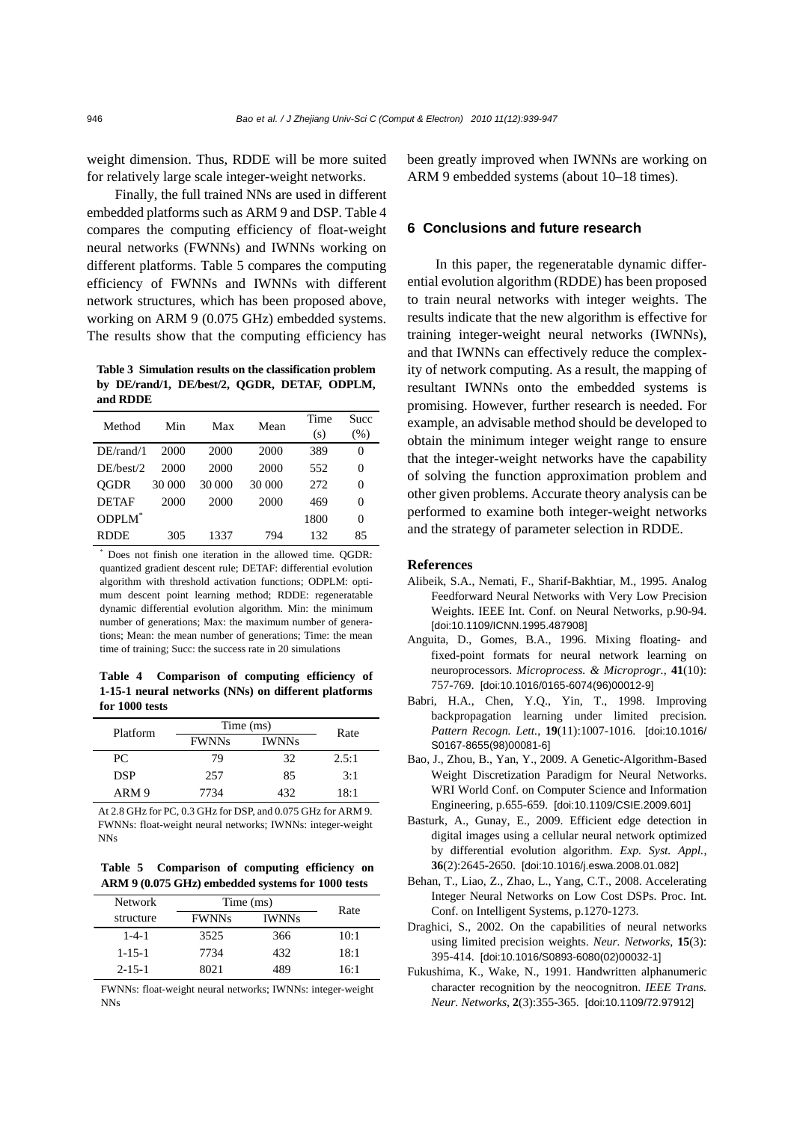weight dimension. Thus, RDDE will be more suited for relatively large scale integer-weight networks.

Finally, the full trained NNs are used in different embedded platforms such as ARM 9 and DSP. Table 4 compares the computing efficiency of float-weight neural networks (FWNNs) and IWNNs working on different platforms. Table 5 compares the computing efficiency of FWNNs and IWNNs with different network structures, which has been proposed above, working on ARM 9 (0.075 GHz) embedded systems. The results show that the computing efficiency has

**Table 3 Simulation results on the classification problem by DE/rand/1, DE/best/2, QGDR, DETAF, ODPLM, and RDDE**

| Method             | Min    | Max    | Mean   | Time | Succ |
|--------------------|--------|--------|--------|------|------|
|                    |        |        |        | (s)  | (% ) |
| $DE/r$ and/1       | 2000   | 2000   | 2000   | 389  | 0    |
| DE/hest/2          | 2000   | 2000   | 2000   | 552  | 0    |
| <b>OGDR</b>        | 30 000 | 30 000 | 30 000 | 272  | 0    |
| <b>DETAF</b>       | 2000   | 2000   | 2000   | 469  | 0    |
| ODPLM <sup>*</sup> |        |        |        | 1800 | 0    |
| RDDE               | 305    | 1337   | 794    | 132  | 85   |

 tions; Mean: the mean number of generations; Time: the mean \* Does not finish one iteration in the allowed time. QGDR: quantized gradient descent rule; DETAF: differential evolution algorithm with threshold activation functions; ODPLM: optimum descent point learning method; RDDE: regeneratable dynamic differential evolution algorithm. Min: the minimum number of generations; Max: the maximum number of generatime of training; Succ: the success rate in 20 simulations

**Table 4 Comparison of computing efficiency of 1-15-1 neural networks (NNs) on different platforms for 1000 tests**

| Platform   | Time (ms)    | Rate         |       |
|------------|--------------|--------------|-------|
|            | <b>FWNNs</b> | <b>IWNNs</b> |       |
| PC.        | 79           | 32           | 2.5:1 |
| <b>DSP</b> | 257          | 85           | 3:1   |
| ARM 9      | 7734         | 432          | 18:1  |

At 2.8 GHz for PC, 0.3 GHz for DSP, and 0.075 GHz for ARM 9. FWNNs: float-weight neural networks; IWNNs: integer-weight NNs

**Table 5 Comparison of computing efficiency on ARM 9 (0.075 GHz) embedded systems for 1000 tests**

| <b>Network</b> | Time (ms)    | Rate         |      |
|----------------|--------------|--------------|------|
| structure      | <b>FWNNs</b> | <b>IWNNs</b> |      |
| $1 - 4 - 1$    | 3525         | 366          | 10:1 |
| $1 - 15 - 1$   | 7734         | 432          | 18:1 |
| $2 - 15 - 1$   | 8021         | 489          | 16:1 |

FWNNs: float-weight neural networks; IWNNs: integer-weight NNs

been greatly improved when IWNNs are working on ARM 9 embedded systems (about 10–18 times).

## **6 Conclusions and future research**

In this paper, the regeneratable dynamic differential evolution algorithm (RDDE) has been proposed to train neural networks with integer weights. The results indicate that the new algorithm is effective for training integer-weight neural networks (IWNNs), and that IWNNs can effectively reduce the complexity of network computing. As a result, the mapping of resultant IWNNs onto the embedded systems is promising. However, further research is needed. For example, an advisable method should be developed to obtain the minimum integer weight range to ensure that the integer-weight networks have the capability of solving the function approximation problem and other given problems. Accurate theory analysis can be performed to examine both integer-weight networks and the strategy of parameter selection in RDDE.

### **References**

- Alibeik, S.A., Nemati, F., Sharif-Bakhtiar, M., 1995. Analog Feedforward Neural Networks with Very Low Precision Weights. IEEE Int. Conf. on Neural Networks, p.90-94. [doi:10.1109/ICNN.1995.487908]
- Anguita, D., Gomes, B.A., 1996. Mixing floating- and fixed-point formats for neural network learning on neuroprocessors. *Microprocess. & Microprogr.*, **41**(10): 757-769. [doi:10.1016/0165-6074(96)00012-9]
- Babri, H.A., Chen, Y.Q., Yin, T., 1998. Improving backpropagation learning under limited precision. *Pattern Recogn. Lett.*, **19**(11):1007-1016. [doi:10.1016/ S0167-8655(98)00081-6]
- Bao, J., Zhou, B., Yan, Y., 2009. A Genetic-Algorithm-Based Weight Discretization Paradigm for Neural Networks. WRI World Conf. on Computer Science and Information Engineering, p.655-659. [doi:10.1109/CSIE.2009.601]
- Basturk, A., Gunay, E., 2009. Efficient edge detection in digital images using a cellular neural network optimized by differential evolution algorithm. *Exp. Syst. Appl.*, **36**(2):2645-2650. [doi:10.1016/j.eswa.2008.01.082]
- Behan, T., Liao, Z., Zhao, L., Yang, C.T., 2008. Accelerating Integer Neural Networks on Low Cost DSPs. Proc. Int. Conf. on Intelligent Systems, p.1270-1273.
- Draghici, S., 2002. On the capabilities of neural networks using limited precision weights. *Neur. Networks*, **15**(3): 395-414. [doi:10.1016/S0893-6080(02)00032-1]
- Fukushima, K., Wake, N., 1991. Handwritten alphanumeric character recognition by the neocognitron. *IEEE Trans. Neur. Networks*, **2**(3):355-365. [doi:10.1109/72.97912]